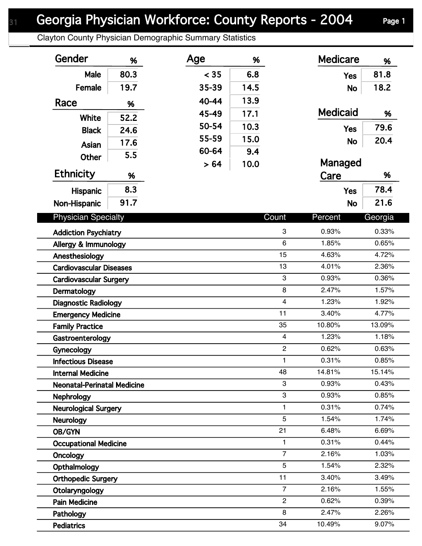## Georgia Physician Workforce: County Reports - 2004 Page 1

Clayton County Physician Demographic Summary Statistics

| Gender                             | %    | Age   | %    |                           | <b>Medicare</b> | %       |
|------------------------------------|------|-------|------|---------------------------|-----------------|---------|
| Male                               | 80.3 | < 35  | 6.8  |                           | <b>Yes</b>      | 81.8    |
| Female                             | 19.7 | 35-39 | 14.5 |                           | <b>No</b>       | 18.2    |
| Race                               | %    | 40-44 | 13.9 |                           |                 |         |
|                                    |      | 45-49 | 17.1 |                           | <b>Medicaid</b> | %       |
| White                              | 52.2 | 50-54 | 10.3 |                           |                 | 79.6    |
| <b>Black</b>                       | 24.6 | 55-59 | 15.0 |                           | <b>Yes</b>      |         |
| Asian                              | 17.6 | 60-64 | 9.4  |                           | <b>No</b>       | 20.4    |
| Other                              | 5.5  |       | 10.0 |                           | Managed         |         |
| <b>Ethnicity</b>                   | %    | > 64  |      |                           | Care            | %       |
|                                    | 8.3  |       |      |                           |                 | 78.4    |
| <b>Hispanic</b>                    | 91.7 |       |      |                           | <b>Yes</b>      | 21.6    |
| Non-Hispanic                       |      |       |      |                           | <b>No</b>       |         |
| <b>Physician Specialty</b>         |      |       |      | Count                     | Percent         | Georgia |
| <b>Addiction Psychiatry</b>        |      |       |      | 3                         | 0.93%           | 0.33%   |
| Allergy & Immunology               |      |       |      | 6                         | 1.85%           | 0.65%   |
| Anesthesiology                     |      |       |      | 15                        | 4.63%           | 4.72%   |
| <b>Cardiovascular Diseases</b>     |      |       |      | 13                        | 4.01%           | 2.36%   |
| <b>Cardiovascular Surgery</b>      |      |       |      | $\ensuremath{\mathsf{3}}$ | 0.93%           | 0.36%   |
| Dermatology                        |      |       |      | 8                         | 2.47%           | 1.57%   |
| <b>Diagnostic Radiology</b>        |      |       |      | $\overline{\mathbf{4}}$   | 1.23%           | 1.92%   |
| <b>Emergency Medicine</b>          |      |       |      | 11                        | 3.40%           | 4.77%   |
| <b>Family Practice</b>             |      |       |      | 35                        | 10.80%          | 13.09%  |
| Gastroenterology                   |      |       |      | $\overline{\mathbf{4}}$   | 1.23%           | 1.18%   |
| Gynecology                         |      |       |      | $\overline{c}$            | 0.62%           | 0.63%   |
| <b>Infectious Disease</b>          |      |       |      | 1                         | 0.31%           | 0.85%   |
| <b>Internal Medicine</b>           |      |       |      | 48                        | 14.81%          | 15.14%  |
| <b>Neonatal-Perinatal Medicine</b> |      |       |      | 3                         | 0.93%           | 0.43%   |
| <b>Nephrology</b>                  |      |       |      | 3                         | 0.93%           | 0.85%   |
| <b>Neurological Surgery</b>        |      |       |      | 1                         | 0.31%           | 0.74%   |
| <b>Neurology</b>                   |      |       |      | 5                         | 1.54%           | 1.74%   |
| OB/GYN                             |      |       |      | 21                        | 6.48%           | 6.69%   |
| <b>Occupational Medicine</b>       |      |       |      | 1                         | 0.31%           | 0.44%   |
| Oncology                           |      |       |      | $\overline{7}$            | 2.16%           | 1.03%   |
| Opthalmology                       |      |       |      | 5                         | 1.54%           | 2.32%   |
| <b>Orthopedic Surgery</b>          |      |       |      | 11                        | 3.40%           | 3.49%   |
| Otolaryngology                     |      |       |      | $\overline{7}$            | 2.16%           | 1.55%   |
| <b>Pain Medicine</b>               |      |       |      | $\overline{2}$            | 0.62%           | 0.39%   |
| Pathology                          |      |       |      | 8                         | 2.47%           | 2.26%   |
| Pediatrics                         |      |       |      | 34                        | 10.49%          | 9.07%   |